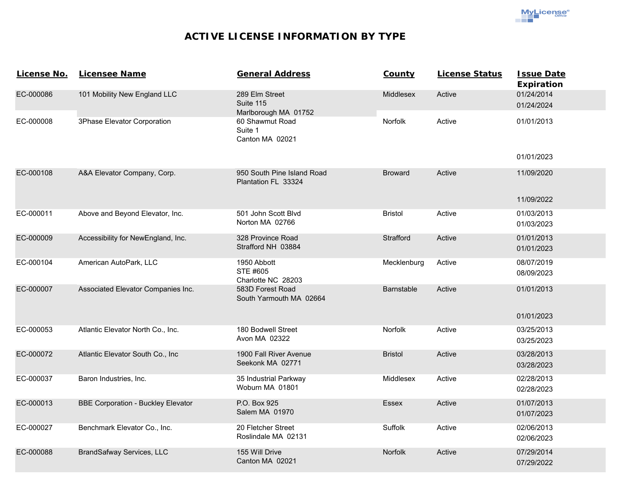**MyLicense**<sup>®</sup>

## **ACTIVE LICENSE INFORMATION BY TYPE**

| License No. | <b>Licensee Name</b>                      | <b>General Address</b>                              | County            | <b>License Status</b> | <b>Issue Date</b><br><b>Expiration</b> |
|-------------|-------------------------------------------|-----------------------------------------------------|-------------------|-----------------------|----------------------------------------|
| EC-000086   | 101 Mobility New England LLC              | 289 Elm Street<br>Suite 115<br>Marlborough MA 01752 | <b>Middlesex</b>  | Active                | 01/24/2014<br>01/24/2024               |
| EC-000008   | 3Phase Elevator Corporation               | 60 Shawmut Road<br>Suite 1<br>Canton MA 02021       | Norfolk           | Active                | 01/01/2013                             |
|             |                                           |                                                     |                   |                       | 01/01/2023                             |
| EC-000108   | A&A Elevator Company, Corp.               | 950 South Pine Island Road<br>Plantation FL 33324   | <b>Broward</b>    | Active                | 11/09/2020                             |
|             |                                           |                                                     |                   |                       | 11/09/2022                             |
| EC-000011   | Above and Beyond Elevator, Inc.           | 501 John Scott Blvd<br>Norton MA 02766              | <b>Bristol</b>    | Active                | 01/03/2013<br>01/03/2023               |
| EC-000009   | Accessibility for NewEngland, Inc.        | 328 Province Road<br>Strafford NH 03884             | Strafford         | Active                | 01/01/2013<br>01/01/2023               |
| EC-000104   | American AutoPark, LLC                    | 1950 Abbott<br>STE #605<br>Charlotte NC 28203       | Mecklenburg       | Active                | 08/07/2019<br>08/09/2023               |
| EC-000007   | Associated Elevator Companies Inc.        | 583D Forest Road<br>South Yarmouth MA 02664         | <b>Barnstable</b> | Active                | 01/01/2013                             |
|             |                                           |                                                     |                   |                       | 01/01/2023                             |
| EC-000053   | Atlantic Elevator North Co., Inc.         | 180 Bodwell Street<br>Avon MA 02322                 | Norfolk           | Active                | 03/25/2013<br>03/25/2023               |
| EC-000072   | Atlantic Elevator South Co., Inc          | 1900 Fall River Avenue<br>Seekonk MA 02771          | <b>Bristol</b>    | Active                | 03/28/2013<br>03/28/2023               |
| EC-000037   | Baron Industries, Inc.                    | 35 Industrial Parkway<br>Woburn MA 01801            | Middlesex         | Active                | 02/28/2013<br>02/28/2023               |
| EC-000013   | <b>BBE Corporation - Buckley Elevator</b> | P.O. Box 925<br>Salem MA 01970                      | <b>Essex</b>      | Active                | 01/07/2013<br>01/07/2023               |
| EC-000027   | Benchmark Elevator Co., Inc.              | 20 Fletcher Street<br>Roslindale MA 02131           | Suffolk           | Active                | 02/06/2013<br>02/06/2023               |
| EC-000088   | <b>BrandSafway Services, LLC</b>          | 155 Will Drive<br>Canton MA 02021                   | Norfolk           | Active                | 07/29/2014<br>07/29/2022               |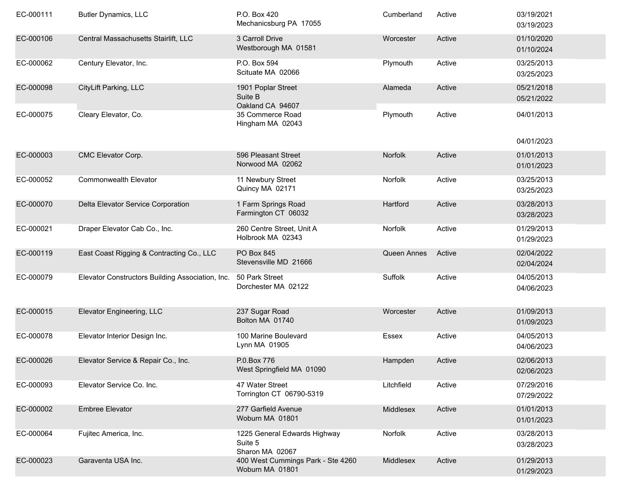| EC-000111 | <b>Butler Dynamics, LLC</b>                      | P.O. Box 420<br>Mechanicsburg PA 17055                     | Cumberland  | Active | 03/19/2021<br>03/19/2023 |
|-----------|--------------------------------------------------|------------------------------------------------------------|-------------|--------|--------------------------|
| EC-000106 | Central Massachusetts Stairlift, LLC             | 3 Carroll Drive<br>Westborough MA 01581                    | Worcester   | Active | 01/10/2020<br>01/10/2024 |
| EC-000062 | Century Elevator, Inc.                           | P.O. Box 594<br>Scituate MA 02066                          | Plymouth    | Active | 03/25/2013<br>03/25/2023 |
| EC-000098 | CityLift Parking, LLC                            | 1901 Poplar Street<br>Suite B<br>Oakland CA 94607          | Alameda     | Active | 05/21/2018<br>05/21/2022 |
| EC-000075 | Cleary Elevator, Co.                             | 35 Commerce Road<br>Hingham MA 02043                       | Plymouth    | Active | 04/01/2013               |
|           |                                                  |                                                            |             |        | 04/01/2023               |
| EC-000003 | CMC Elevator Corp.                               | 596 Pleasant Street<br>Norwood MA 02062                    | Norfolk     | Active | 01/01/2013<br>01/01/2023 |
| EC-000052 | <b>Commonwealth Elevator</b>                     | 11 Newbury Street<br>Quincy MA 02171                       | Norfolk     | Active | 03/25/2013<br>03/25/2023 |
| EC-000070 | Delta Elevator Service Corporation               | 1 Farm Springs Road<br>Farmington CT 06032                 | Hartford    | Active | 03/28/2013<br>03/28/2023 |
| EC-000021 | Draper Elevator Cab Co., Inc.                    | 260 Centre Street, Unit A<br>Holbrook MA 02343             | Norfolk     | Active | 01/29/2013<br>01/29/2023 |
| EC-000119 | East Coast Rigging & Contracting Co., LLC        | <b>PO Box 845</b><br>Stevensville MD 21666                 | Queen Annes | Active | 02/04/2022<br>02/04/2024 |
| EC-000079 | Elevator Constructors Building Association, Inc. | 50 Park Street<br>Dorchester MA 02122                      | Suffolk     | Active | 04/05/2013<br>04/06/2023 |
| EC-000015 | Elevator Engineering, LLC                        | 237 Sugar Road<br>Bolton MA 01740                          | Worcester   | Active | 01/09/2013<br>01/09/2023 |
| EC-000078 | Elevator Interior Design Inc.                    | 100 Marine Boulevard<br>Lynn MA 01905                      | Essex       | Active | 04/05/2013<br>04/06/2023 |
| EC-000026 | Elevator Service & Repair Co., Inc.              | P.0.Box 776<br>West Springfield MA 01090                   | Hampden     | Active | 02/06/2013<br>02/06/2023 |
| EC-000093 | Elevator Service Co. Inc.                        | 47 Water Street<br>Torrington CT 06790-5319                | Litchfield  | Active | 07/29/2016<br>07/29/2022 |
| EC-000002 | <b>Embree Elevator</b>                           | 277 Garfield Avenue<br>Woburn MA 01801                     | Middlesex   | Active | 01/01/2013<br>01/01/2023 |
| EC-000064 | Fujitec America, Inc.                            | 1225 General Edwards Highway<br>Suite 5<br>Sharon MA 02067 | Norfolk     | Active | 03/28/2013<br>03/28/2023 |
| EC-000023 | Garaventa USA Inc.                               | 400 West Cummings Park - Ste 4260<br>Woburn MA 01801       | Middlesex   | Active | 01/29/2013<br>01/29/2023 |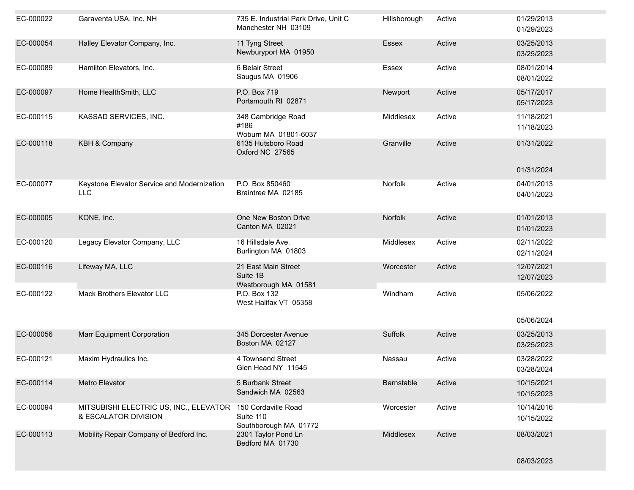| EC-000022 | Garaventa USA, Inc. NH                                                             | 735 E. Industrial Park Drive, Unit C<br>Manchester NH 03109 | Hillsborough   | Active | 01/29/2013<br>01/29/2023 |
|-----------|------------------------------------------------------------------------------------|-------------------------------------------------------------|----------------|--------|--------------------------|
| EC-000054 | Halley Elevator Company, Inc.                                                      | 11 Tyng Street<br>Newburyport MA 01950                      | Essex          | Active | 03/25/2013<br>03/25/2023 |
| EC-000089 | Hamilton Elevators, Inc.                                                           | 6 Belair Street<br>Saugus MA 01906                          | Essex          | Active | 08/01/2014<br>08/01/2022 |
| EC-000097 | Home HealthSmith, LLC                                                              | P.O. Box 719<br>Portsmouth RI 02871                         | Newport        | Active | 05/17/2017<br>05/17/2023 |
| EC-000115 | KASSAD SERVICES, INC.                                                              | 348 Cambridge Road<br>#186<br>Woburn MA 01801-6037          | Middlesex      | Active | 11/18/2021<br>11/18/2023 |
| EC-000118 | <b>KBH &amp; Company</b>                                                           | 6135 Hutsboro Road<br>Oxford NC 27565                       | Granville      | Active | 01/31/2022               |
|           |                                                                                    |                                                             |                |        | 01/31/2024               |
| EC-000077 | Keystone Elevator Service and Modernization<br><b>LLC</b>                          | P.O. Box 850460<br>Braintree MA 02185                       | Norfolk        | Active | 04/01/2013<br>04/01/2023 |
| EC-000005 | KONE, Inc.                                                                         | One New Boston Drive<br>Canton MA 02021                     | <b>Norfolk</b> | Active | 01/01/2013<br>01/01/2023 |
| EC-000120 | Legacy Elevator Company, LLC                                                       | 16 Hillsdale Ave.<br>Burlington MA 01803                    | Middlesex      | Active | 02/11/2022<br>02/11/2024 |
| EC-000116 | Lifeway MA, LLC                                                                    | 21 East Main Street<br>Suite 1B<br>Westborough MA 01581     | Worcester      | Active | 12/07/2021<br>12/07/2023 |
| EC-000122 | Mack Brothers Elevator LLC                                                         | P.O. Box 132<br>West Halifax VT 05358                       | Windham        | Active | 05/06/2022               |
|           |                                                                                    |                                                             |                |        | 05/06/2024               |
| EC-000056 | <b>Marr Equipment Corporation</b>                                                  | 345 Dorcester Avenue<br>Boston MA 02127                     | Suffolk        | Active | 03/25/2013<br>03/25/2023 |
| EC-000121 | Maxim Hydraulics Inc.                                                              | 4 Townsend Street<br>Glen Head NY 11545                     | Nassau         | Active | 03/28/2022<br>03/28/2024 |
| EC-000114 | Metro Elevator                                                                     | 5 Burbank Street<br>Sandwich MA 02563                       | Barnstable     | Active | 10/15/2021<br>10/15/2023 |
| EC-000094 | MITSUBISHI ELECTRIC US, INC., ELEVATOR 150 Cordaville Road<br>& ESCALATOR DIVISION | Suite 110<br>Southborough MA 01772                          | Worcester      | Active | 10/14/2016<br>10/15/2022 |
| EC-000113 | Mobility Repair Company of Bedford Inc.                                            | 2301 Taylor Pond Ln<br>Bedford MA 01730                     | Middlesex      | Active | 08/03/2021               |

08/03/2023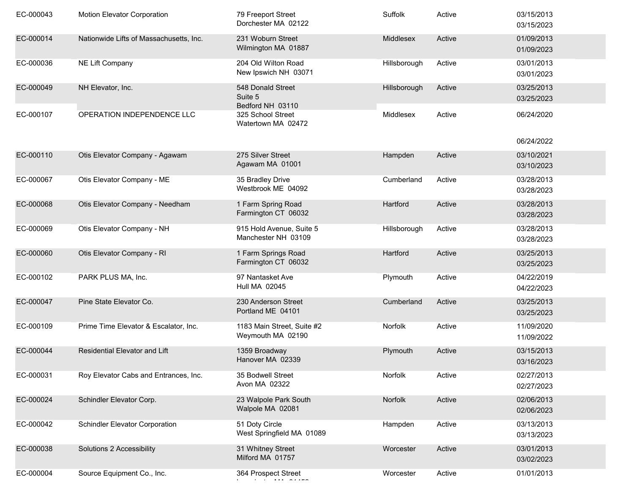| EC-000043 | <b>Motion Elevator Corporation</b>      | 79 Freeport Street<br>Dorchester MA 02122        | Suffolk      | Active | 03/15/2013<br>03/15/2023 |
|-----------|-----------------------------------------|--------------------------------------------------|--------------|--------|--------------------------|
| EC-000014 | Nationwide Lifts of Massachusetts, Inc. | 231 Woburn Street<br>Wilmington MA 01887         | Middlesex    | Active | 01/09/2013<br>01/09/2023 |
| EC-000036 | NE Lift Company                         | 204 Old Wilton Road<br>New Ipswich NH 03071      | Hillsborough | Active | 03/01/2013<br>03/01/2023 |
| EC-000049 | NH Elevator, Inc.                       | 548 Donald Street<br>Suite 5<br>Bedford NH 03110 | Hillsborough | Active | 03/25/2013<br>03/25/2023 |
| EC-000107 | OPERATION INDEPENDENCE LLC              | 325 School Street<br>Watertown MA 02472          | Middlesex    | Active | 06/24/2020<br>06/24/2022 |
| EC-000110 | Otis Elevator Company - Agawam          | 275 Silver Street                                | Hampden      | Active | 03/10/2021               |
|           |                                         | Agawam MA 01001                                  |              |        | 03/10/2023               |
| EC-000067 | Otis Elevator Company - ME              | 35 Bradley Drive<br>Westbrook ME 04092           | Cumberland   | Active | 03/28/2013<br>03/28/2023 |
| EC-000068 | Otis Elevator Company - Needham         | 1 Farm Spring Road<br>Farmington CT 06032        | Hartford     | Active | 03/28/2013<br>03/28/2023 |
| EC-000069 | Otis Elevator Company - NH              | 915 Hold Avenue, Suite 5<br>Manchester NH 03109  | Hillsborough | Active | 03/28/2013<br>03/28/2023 |
| EC-000060 | Otis Elevator Company - RI              | 1 Farm Springs Road<br>Farmington CT 06032       | Hartford     | Active | 03/25/2013<br>03/25/2023 |
| EC-000102 | PARK PLUS MA, Inc.                      | 97 Nantasket Ave<br>Hull MA 02045                | Plymouth     | Active | 04/22/2019<br>04/22/2023 |
| EC-000047 | Pine State Elevator Co.                 | 230 Anderson Street<br>Portland ME 04101         | Cumberland   | Active | 03/25/2013<br>03/25/2023 |
| EC-000109 | Prime Time Elevator & Escalator, Inc.   | 1183 Main Street, Suite #2<br>Weymouth MA 02190  | Norfolk      | Active | 11/09/2020<br>11/09/2022 |
| EC-000044 | Residential Elevator and Lift           | 1359 Broadway<br>Hanover MA 02339                | Plymouth     | Active | 03/15/2013<br>03/16/2023 |
| EC-000031 | Roy Elevator Cabs and Entrances, Inc.   | 35 Bodwell Street<br>Avon MA 02322               | Norfolk      | Active | 02/27/2013<br>02/27/2023 |
| EC-000024 | Schindler Elevator Corp.                | 23 Walpole Park South<br>Walpole MA 02081        | Norfolk      | Active | 02/06/2013<br>02/06/2023 |
| EC-000042 | <b>Schindler Elevator Corporation</b>   | 51 Doty Circle<br>West Springfield MA 01089      | Hampden      | Active | 03/13/2013<br>03/13/2023 |
| EC-000038 | Solutions 2 Accessibility               | 31 Whitney Street<br>Milford MA 01757            | Worcester    | Active | 03/01/2013<br>03/02/2023 |
| EC-000004 | Source Equipment Co., Inc.              | 364 Prospect Street                              | Worcester    | Active | 01/01/2013               |